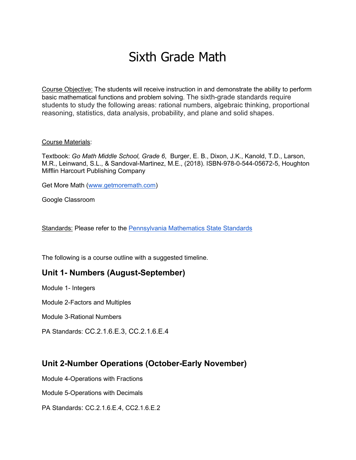# Sixth Grade Math

Course Objective: The students will receive instruction in and demonstrate the ability to perform basic mathematical functions and problem solving. The sixth-grade standards require students to study the following areas: rational numbers, algebraic thinking, proportional reasoning, statistics, data analysis, probability, and plane and solid shapes.

#### Course Materials:

Textbook: *Go Math Middle School, Grade 6*, Burger, E. B., Dixon, J.K., Kanold, T.D., Larson, M.R., Leinwand, S.L., & Sandoval-Martinez, M.E., (2018). ISBN-978-0-544-05672-5, Houghton Mifflin Harcourt Publishing Company

Get More Math [\(www.getmoremath.com\)](http://www.getmoremath.com/)

Google Classroom

Standards: Please refer to the [Pennsylvania Mathematics State Standards](https://files5.pdesas.org/031050209072242007136009216034059242225045041046/Download.ashx?hash=2.2)

The following is a course outline with a suggested timeline.

#### **Unit 1- Numbers (August-September)**

Module 1- Integers

Module 2-Factors and Multiples

Module 3-Rational Numbers

PA Standards: CC.2.1.6.E.3, CC.2.1.6.E.4

#### **Unit 2-Number Operations (October-Early November)**

Module 4-Operations with Fractions

Module 5-Operations with Decimals

PA Standards: CC.2.1.6.E.4, CC2.1.6.E.2